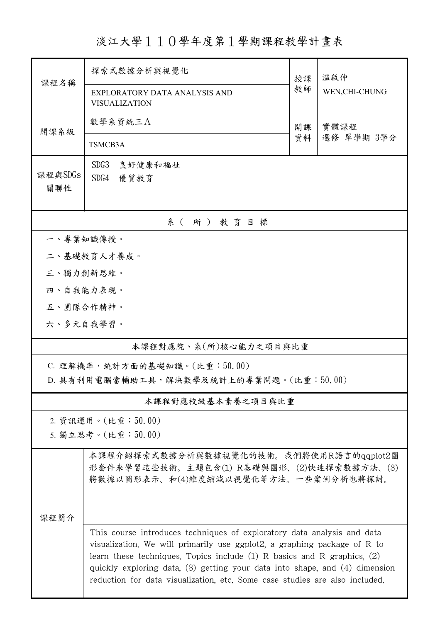淡江大學110學年度第1學期課程教學計畫表

| 課程名稱                                    | 探索式數據分析與視覺化                                                                                                                                                                                                                                                                                                                                                                                      | 授課       | 温啟仲                |  |  |  |
|-----------------------------------------|--------------------------------------------------------------------------------------------------------------------------------------------------------------------------------------------------------------------------------------------------------------------------------------------------------------------------------------------------------------------------------------------------|----------|--------------------|--|--|--|
|                                         | EXPLORATORY DATA ANALYSIS AND<br><b>VISUALIZATION</b>                                                                                                                                                                                                                                                                                                                                            | 教師       | WEN, CHI-CHUNG     |  |  |  |
| 開課系級                                    | 數學系資統三A                                                                                                                                                                                                                                                                                                                                                                                          | 開課<br>資料 | 實體課程<br>選修 單學期 3學分 |  |  |  |
|                                         | TSMCB3A                                                                                                                                                                                                                                                                                                                                                                                          |          |                    |  |  |  |
| 課程與SDGs<br>關聯性                          | SDG <sub>3</sub><br>良好健康和福祉<br>SDG4 優質教育                                                                                                                                                                                                                                                                                                                                                         |          |                    |  |  |  |
| 系(所)教育目標                                |                                                                                                                                                                                                                                                                                                                                                                                                  |          |                    |  |  |  |
| 一、專業知識傳授。                               |                                                                                                                                                                                                                                                                                                                                                                                                  |          |                    |  |  |  |
|                                         | 二、基礎教育人才養成。                                                                                                                                                                                                                                                                                                                                                                                      |          |                    |  |  |  |
| 三、獨力創新思維。                               |                                                                                                                                                                                                                                                                                                                                                                                                  |          |                    |  |  |  |
| 四、自我能力表現。                               |                                                                                                                                                                                                                                                                                                                                                                                                  |          |                    |  |  |  |
| 五、團隊合作精神。                               |                                                                                                                                                                                                                                                                                                                                                                                                  |          |                    |  |  |  |
| 六、多元自我學習。                               |                                                                                                                                                                                                                                                                                                                                                                                                  |          |                    |  |  |  |
| 本課程對應院、系(所)核心能力之項目與比重                   |                                                                                                                                                                                                                                                                                                                                                                                                  |          |                    |  |  |  |
| C. 理解機率,統計方面的基礎知識。(比重:50.00)            |                                                                                                                                                                                                                                                                                                                                                                                                  |          |                    |  |  |  |
| D. 具有利用電腦當輔助工具,解決數學及統計上的專業問題。(比重:50.00) |                                                                                                                                                                                                                                                                                                                                                                                                  |          |                    |  |  |  |
| 本課程對應校級基本素養之項目與比重                       |                                                                                                                                                                                                                                                                                                                                                                                                  |          |                    |  |  |  |
| 2. 資訊運用。(比重:50.00)                      |                                                                                                                                                                                                                                                                                                                                                                                                  |          |                    |  |  |  |
|                                         | 5. 獨立思考。(比重:50.00)                                                                                                                                                                                                                                                                                                                                                                               |          |                    |  |  |  |
|                                         | 本課程介紹探索式數據分析與數據視覺化的技術。我們將使用R語言的qqplot2圖<br>形套件來學習這些技術。主題包含(1) R基礎與圖形、(2)快速探索數據方法、(3)<br>將數據以圖形表示、和(4)維度縮減以視覺化等方法。一些案例分析也將探討。                                                                                                                                                                                                                                                                     |          |                    |  |  |  |
| 課程簡介                                    |                                                                                                                                                                                                                                                                                                                                                                                                  |          |                    |  |  |  |
|                                         | This course introduces techniques of exploratory data analysis and data<br>visualization. We will primarily use ggplot2, a graphing package of R to<br>learn these techniques. Topics include $(1)$ R basics and R graphics, $(2)$<br>quickly exploring data, (3) getting your data into shape, and (4) dimension<br>reduction for data visualization, etc. Some case studies are also included. |          |                    |  |  |  |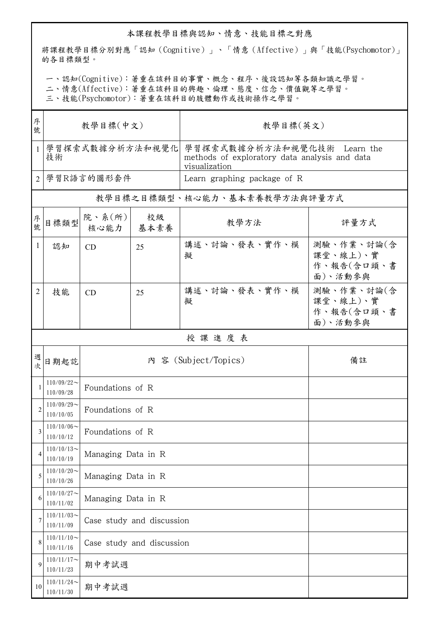## 本課程教學目標與認知、情意、技能目標之對應

將課程教學目標分別對應「認知(Cognitive)」、「情意(Affective)」與「技能(Psychomotor)」 的各目標類型。

一、認知(Cognitive):著重在該科目的事實、概念、程序、後設認知等各類知識之學習。

二、情意(Affective):著重在該科目的興趣、倫理、態度、信念、價值觀等之學習。

三、技能(Psychomotor):著重在該科目的肢體動作或技術操作之學習。

| 序<br>號         | 教學目標(中文)                      |                               |    | 教學目標(英文)                                                                                      |                                                 |  |  |  |
|----------------|-------------------------------|-------------------------------|----|-----------------------------------------------------------------------------------------------|-------------------------------------------------|--|--|--|
| $\mathbf{1}$   | 學習探索式數據分析方法和視覺化<br>技術         |                               |    | 學習探索式數據分析方法和視覺化技術 Learn the<br>methods of exploratory data analysis and data<br>visualization |                                                 |  |  |  |
| $\overline{2}$ |                               | 學習R語言的圖形套件                    |    | Learn graphing package of R                                                                   |                                                 |  |  |  |
|                | 教學目標之目標類型、核心能力、基本素養教學方法與評量方式  |                               |    |                                                                                               |                                                 |  |  |  |
| 序號             | 目標類型                          | 院、系 $(\kappa)$<br>核心能力   基本素養 | 校級 | 教學方法                                                                                          | 評量方式                                            |  |  |  |
| $\mathbf{1}$   | 認知                            | <b>CD</b>                     | 25 | 講述、討論、發表、實作、模<br>擬                                                                            | 測驗、作業、討論(含<br>課堂、線上)、實<br>作、報告(含口頭、書<br>面)、活動參與 |  |  |  |
| 2              | 技能                            | <b>CD</b>                     | 25 | 講述、討論、發表、實作、模<br>擬                                                                            | 測驗、作業、討論(含<br>課堂、線上)、實<br>作、報告(含口頭、書<br>面)、活動參與 |  |  |  |
|                | 授課進度表                         |                               |    |                                                                                               |                                                 |  |  |  |
| 週<br>欤         | 日期起訖                          |                               |    | 內 容 (Subject/Topics)                                                                          | 備註                                              |  |  |  |
| 1              | $110/09/22$ ~<br>110/09/28    | Foundations of R              |    |                                                                                               |                                                 |  |  |  |
| $\overline{c}$ | $110/09/29$ ~<br>110/10/05    | Foundations of R              |    |                                                                                               |                                                 |  |  |  |
| 3              | $110/10/06 \sim$<br>110/10/12 | Foundations of R              |    |                                                                                               |                                                 |  |  |  |
| 4              | $110/10/13$ ~<br>110/10/19    | Managing Data in R            |    |                                                                                               |                                                 |  |  |  |
| 5              | $110/10/20$ ~<br>110/10/26    | Managing Data in R            |    |                                                                                               |                                                 |  |  |  |
| 6              | $110/10/27$ ~<br>110/11/02    | Managing Data in R            |    |                                                                                               |                                                 |  |  |  |
| 7              | $110/11/03$ ~<br>110/11/09    | Case study and discussion     |    |                                                                                               |                                                 |  |  |  |
| 8              | $110/11/10$ ~<br>110/11/16    | Case study and discussion     |    |                                                                                               |                                                 |  |  |  |
| 9              | $110/11/17$ ~<br>110/11/23    | 期中考試週                         |    |                                                                                               |                                                 |  |  |  |
| 10             | $110/11/24$ ~<br>110/11/30    | 期中考試週                         |    |                                                                                               |                                                 |  |  |  |